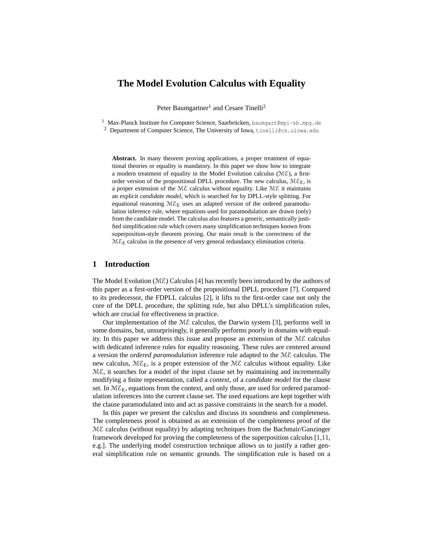# **The Model Evolution Calculus with Equality**

Peter Baumgartner<sup>1</sup> and Cesare Tinelli<sup>2</sup>

<sup>1</sup> Max-Planck Institute for Computer Science, Saarbrücken, baumgart@mpi-sb.mpg.de <sup>2</sup> Department of Computer Science, The University of Iowa, tinelli@cs.uiowa.edu

**Abstract.** In many theorem proving applications, a proper treatment of equational theories or equality is mandatory. In this paper we show how to integrate a modern treatment of equality in the Model Evolution calculus  $(ME)$ , a firstorder version of the propositional DPLL procedure. The new calculus,  $M\mathcal{E}_E$ , is a proper extension of the  $M\mathcal{E}$  calculus without equality. Like  $M\mathcal{E}$  it maintains an explicit *candidate model*, which is searched for by DPLL-style splitting. For equational reasoning  $M\mathcal{E}_E$  uses an adapted version of the ordered paramodulation inference rule, where equations used for paramodulation are drawn (only) from the candidate model. The calculus also features a generic, semantically justified simplification rule which covers many simplification techniques known from superposition-style theorem proving. Our main result is the correctness of the  $ME_E$  calculus in the presence of very general redundancy elimination criteria.

### **1 Introduction**

The Model Evolution ( $M\mathcal{E}$ ) Calculus [\[4\]](#page-15-0) has recently been introduced by the authors of this paper as a first-order version of the propositional DPLL procedure [\[7\]](#page-15-1). Compared to its predecessor, the FDPLL calculus [\[2\]](#page-15-2), it lifts to the first-order case not only the core of the DPLL procedure, the splitting rule, but also DPLL's simplification rules, which are crucial for effectiveness in practice.

Our implementation of the  $M\mathcal{E}$  calculus, the Darwin system [\[3\]](#page-15-3), performs well in some domains, but, unsurprisingly, it generally performs poorly in domains with equality. In this paper we address this issue and propose an extension of the  $M\mathcal{E}$  calculus with dedicated inference rules for equality reasoning. These rules are centered around a version the *ordered paramodulation* inference rule adapted to the ME calculus. The new calculus,  $M\mathcal{E}_E$ , is a proper extension of the  $M\mathcal{E}$  calculus without equality. Like  $M\mathcal{E}$ , it searches for a model of the input clause set by maintaining and incrementally modifying a finite representation, called a *context*, of a *candidate model* for the clause set. In  $M\mathcal{E}_E$ , equations from the context, and only those, are used for ordered paramodulation inferences into the current clause set. The used equations are kept together with the clause paramodulated into and act as passive constraints in the search for a model.

In this paper we present the calculus and discuss its soundness and completeness. The completeness proof is obtained as an extension of the completeness proof of the ME calculus (without equality) by adapting techniques from the Bachmair/Ganzinger framework developed for proving the completeness of the superposition calculus [\[1,](#page-15-4)[11,](#page-15-5) e.g.]. The underlying model construction technique allows us to justify a rather general simplification rule on semantic grounds. The simplification rule is based on a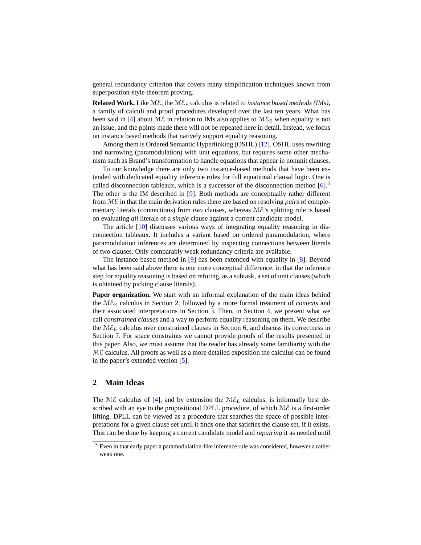general redundancy criterion that covers many simplification techniques known from superposition-style theorem proving.

**Related Work.** Like  $M\mathcal{E}$ , the  $M\mathcal{E}_E$  calculus is related to *instance based methods (IMs)*, a family of calculi and proof procedures developed over the last ten years. What has been said in [\[4\]](#page-15-0) about  $M\mathcal{E}$  in relation to IMs also applies to  $M\mathcal{E}_E$  when equality is not an issue, and the points made there will not be repeated here in detail. Instead, we focus on instance based methods that natively support equality reasoning.

Among them is Ordered Semantic Hyperlinking (OSHL) [\[12\]](#page-15-6). OSHL uses rewriting and narrowing (paramodulation) with unit equations, but requires some other mechanism such as Brand's transformation to handle equations that appear in nonunit clauses.

To our knowledge there are only two instance-based methods that have been extended with dedicated equality inference rules for full equational clausal logic. One is called disconnection tableaux, which is a successor of the disconnection method  $[6]$ .<sup>[3](#page-1-0)</sup> The other is the IM described in [\[9\]](#page-15-8). Both methods are conceptually rather different from ME in that the main derivation rules there are based on resolving *pairs* of complementary literals (connections) from *two* clauses, whereas ME's splitting rule is based on evaluating *all* literals of a *single* clause against a current candidate model.

The article [\[10\]](#page-15-9) discusses various ways of integrating equality reasoning in disconnection tableaux. It includes a variant based on ordered paramodulation, where paramodulation inferences are determined by inspecting connections between literals of two clauses. Only comparably weak redundancy criteria are available.

The instance based method in [\[9\]](#page-15-8) has been extended with equality in [\[8\]](#page-15-10). Beyond what has been said above there is one more conceptual difference, in that the inference step for equality reasoning is based on refuting, as a subtask, a set of unit clauses (which is obtained by picking clause literals).

**Paper organization.** We start with an informal explanation of the main ideas behind the  $M\mathcal{E}_E$  calculus in Section 2, followed by a more formal treatment of *contexts* and their associated interpretations in Section 3. Then, in Section 4, we present what we call *constrained clauses* and a way to perform equality reasoning on them. We describe the  $ME_E$  calculus over constrained clauses in Section 6, and discuss its correctness in Section 7. For space constraints we cannot provide proofs of the results presented in this paper. Also, we must assume that the reader has already some familiarity with the  $M\mathcal{E}$  calculus. All proofs as well as a more detailed exposition the calculus can be found in the paper's extended version [\[5\]](#page-15-11).

# <span id="page-1-1"></span>**2 Main Ideas**

The ME calculus of [\[4\]](#page-15-0), and by extension the  $M\mathcal{E}_E$  calculus, is informally best described with an eye to the propositional DPLL procedure, of which  $M\mathcal{E}$  is a first-order lifting. DPLL can be viewed as a procedure that searches the space of possible interpretations for a given clause set until it finds one that satisfies the clause set, if it exists. This can be done by keeping a current candidate model and *repairing* it as needed until

<span id="page-1-0"></span> $3$  Even in that early paper a paramodulation-like inference rule was considered, however a rather weak one.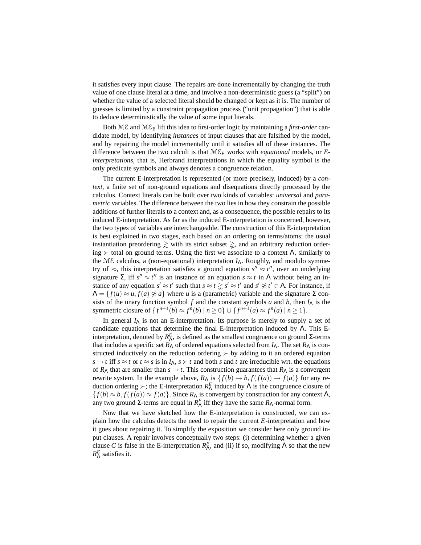it satisfies every input clause. The repairs are done incrementally by changing the truth value of one clause literal at a time, and involve a non-deterministic guess (a "split") on whether the value of a selected literal should be changed or kept as it is. The number of guesses is limited by a constraint propagation process ("unit propagation") that is able to deduce deterministically the value of some input literals.

Both  $M\mathcal{E}$  and  $M\mathcal{E}_E$  lift this idea to first-order logic by maintaining a *first-order* candidate model, by identifying *instances* of input clauses that are falsified by the model, and by repairing the model incrementally until it satisfies all of these instances. The difference between the two calculi is that  $M\mathcal{E}_E$  works with *equational* models, or *Einterpretations*, that is, Herbrand interpretations in which the equality symbol is the only predicate symbols and always denotes a congruence relation.

The current E-interpretation is represented (or more precisely, induced) by a *context*, a finite set of non-ground equations and disequations directly processed by the calculus. Context literals can be built over two kinds of variables: *universal* and *parametric* variables. The difference between the two lies in how they constrain the possible additions of further literals to a context and, as a consequence, the possible repairs to its induced E-interpretation. As far as the induced E-interpretation is concerned, however, the two types of variables are interchangeable. The construction of this E-interpretation is best explained in two stages, each based on an ordering on terms/atoms: the usual instantiation preordering  $\gtrsim$  with its strict subset  $\gtrsim$ , and an arbitrary reduction ordering  $\succ$  total on ground terms. Using the first we associate to a context Λ, similarly to the M*E* calculus, a (non-equational) interpretation *I*<sub>Λ</sub>. Roughly, and modulo symmetry of  $\approx$ , this interpretation satisfies a ground equation  $s'' \approx t''$ , over an underlying signature  $\Sigma$ , iff  $s'' \approx t''$  is an instance of an equation  $s \approx t$  in  $\Lambda$  without being an instance of any equation  $s' \approx t'$  such that  $s \approx t \gtrapprox s' \approx t'$  and  $s' \not\approx t' \in \Lambda$ . For instance, if  $\Lambda = \{f(u) \approx u, f(a) \not\approx a\}$  where *u* is a (parametric) variable and the signature  $\Sigma$  consists of the unary function symbol  $f$  and the constant symbols  $a$  and  $b$ , then  $I<sub>A</sub>$  is the symmetric closure of  $\{f^{n+1}(b) \approx f^{n}(b) \mid n \ge 0\} \cup \{f^{n+1}(a) \approx f^{n}(a) \mid n \ge 1\}.$ 

In general  $I_{\Lambda}$  is not an E-interpretation. Its purpose is merely to supply a set of candidate equations that determine the final E-interpretation induced by  $\Lambda$ . This Einterpretation, denoted by  $R_Λ^E$ , is defined as the smallest congruence on ground Σ-terms that includes a specific set  $R_\Lambda$  of ordered equations selected from  $I_\Lambda$ . The set  $R_\Lambda$  is constructed inductively on the reduction ordering  $\succ$  by adding to it an ordered equation  $s \rightarrow t$  iff  $s \approx t$  or  $t \approx s$  is in  $I_\Lambda$ ,  $s \succ t$  and both *s* and *t* are irreducible wrt. the equations of  $R_\Lambda$  that are smaller than  $s \to t$ . This construction guarantees that  $R_\Lambda$  is a convergent rewrite system. In the example above,  $R_{\Lambda}$  is  $\{f(b) \to b, f(f(a)) \to f(a)\}$  for any reduction ordering  $\succ$ ; the E-interpretation  $R_{\Lambda}^{E}$  induced by  $\Lambda$  is the congruence closure of  ${f(b) \approx b, f(f(a)) \approx f(a)}$ . Since  $R_\Lambda$  is convergent by construction for any context  $\Lambda$ , any two ground Σ-terms are equal in  $R^E_\Lambda$  iff they have the same  $R_\Lambda$ -normal form.

Now that we have sketched how the E-interpretation is constructed, we can explain how the calculus detects the need to repair the current *E*-interpretation and how it goes about repairing it. To simplify the exposition we consider here only ground input clauses. A repair involves conceptually two steps: (i) determining whether a given clause *C* is false in the E-interpretation  $R_A^E$ , and (ii) if so, modifying  $\Lambda$  so that the new  $R_{\Lambda}^{E}$  satisfies it.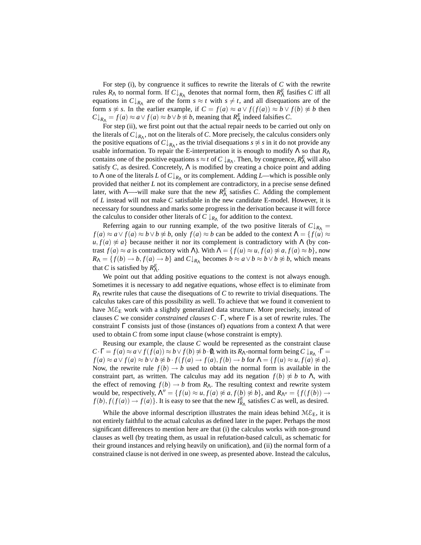For step (i), by congruence it suffices to rewrite the literals of *C* with the rewrite rules  $R_{\Lambda}$  to normal form. If  $C \downarrow_{R_{\Lambda}}$  denotes that normal form, then  $R_{\Lambda}^{E}$  fasifies *C* iff all equations in  $C \downarrow_{R_{\Lambda}}$  are of the form  $s \approx t$  with  $s \neq t$ , and all disequations are of the form *s*  $\napprox$  *s*. In the earlier example, if  $C = f(a) \approx a \vee f(f(a)) \approx b \vee f(b) \not\approx b$  then  $C \downarrow_{R_{\Lambda}} = f(a) \approx a \vee f(a) \approx b \vee b \not\approx b$ , meaning that  $R_{\Lambda}^{E}$  indeed falsifies *C*.

For step (ii), we first point out that the actual repair needs to be carried out only on the literals of  $C \downarrow_{R_{\Lambda}}$ , not on the literals of *C*. More precisely, the calculus considers only the positive equations of  $C \downarrow_{R_{\Lambda}}$ , as the trivial disequations  $s \not\approx s$  in it do not provide any usable information. To repair the E-interpretation it is enough to modify  $\Lambda$  so that  $R_{\Lambda}$ contains one of the positive equations  $s \approx t$  of  $C \downarrow_{R_{\Lambda}}$ . Then, by congruence,  $R_{\Lambda}^{E}$  will also satisfy  $C$ , as desired. Concretely,  $\Lambda$  is modified by creating a choice point and adding to Λ one of the literals *L* of  $C \downarrow_{R_{Λ}}$  or its complement. Adding *L*—which is possible only provided that neither *L* not its complement are contradictory, in a precise sense defined later, with  $\Lambda$ —-will make sure that the new  $R_{\Lambda}^{E}$  satisfies *C*. Adding the complement of *L* instead will not make *C* satisfiable in the new candidate E-model. However, it is necessary for soundness and marks some progress in the derivation because it will force the calculus to consider other literals of  $C \downarrow_{R_{\Lambda}}$  for addition to the context.

Referring again to our running example, of the two positive literals of  $C \downarrow_{R_{\Lambda}}$  =  $f(a) \approx a \vee f(a) \approx b \vee b \not\approx b$ , only  $f(a) \approx b$  can be added to the context  $\Lambda = \{f(u) \approx b \wedge b \not\approx b\}$  $u, f(a) \not\approx a$ } because neither it nor its complement is contradictory with  $\Lambda$  (by contrast *f*(*a*) ≈ *a* is contradictory with Λ). With  $Λ = {f(u) ≈ u, f(a) ≉ a, f(a) ≈ b}$ , now  $R_{\Lambda} = \{f(b) \to b, f(a) \to b\}$  and  $C \downarrow_{R_{\Lambda}}$  becomes  $b \approx a \lor b \approx b \lor b \not\approx b$ , which means that *C* is satisfied by  $R_{\Lambda}^{E}$ .

We point out that adding positive equations to the context is not always enough. Sometimes it is necessary to add negative equations, whose effect is to eliminate from *R*<sup>Λ</sup> rewrite rules that cause the disequations of *C* to rewrite to trivial disequations. The calculus takes care of this possibility as well. To achieve that we found it convenient to have  $ME_E$  work with a slightly generalized data structure. More precisely, instead of clauses *C* we consider *constrained clauses C* ·Γ, where Γ is a set of rewrite rules. The constraint Γ consists just of those (instances of) *equations* from a context Λ that were used to obtain *C* from some input clause (whose constraint is empty).

Reusing our example, the clause *C* would be represented as the constraint clause  $C \cdot \Gamma = f(a) \approx a \vee f(f(a)) \approx b \vee f(b) \not\approx b \cdot 0$ , with its  $R_\Lambda$ -normal form being  $C \downarrow_{R_\Lambda} \cdot \Gamma =$  $f(a) \approx a \vee f(a) \approx b \vee b \not\approx b \cdot f(f(a) \rightarrow f(a), f(b) \rightarrow b \text{ for } \Lambda = \{f(u) \approx u, f(a) \not\approx a\}.$ Now, the rewrite rule  $f(b) \rightarrow b$  used to obtain the normal form is available in the constraint part, as written. The calculus may add its negation  $f(b) \not\approx b$  to  $\Lambda$ , with the effect of removing  $f(b) \rightarrow b$  from  $R_\Lambda$ . The resulting context and rewrite system would be, respectively,  $\Lambda'' = \{f(u) \approx u, f(a) \not\approx a, f(b) \not\approx b\}$ , and  $R_{\Lambda''} = \{f(f(b)) \rightarrow b\}$  $f(b), f(f(a)) \to f(a)$ . It is easy to see that the new  $I_{R_{\Lambda}}^E$  satisfies *C* as well, as desired.

While the above informal description illustrates the main ideas behind  $M\mathcal{E}_E$ , it is not entirely faithful to the actual calculus as defined later in the paper. Perhaps the most significant differences to mention here are that (i) the calculus works with non-ground clauses as well (by treating them, as usual in refutation-based calculi, as schematic for their ground instances and relying heavily on unification), and (ii) the normal form of a constrained clause is not derived in one sweep, as presented above. Instead the calculus,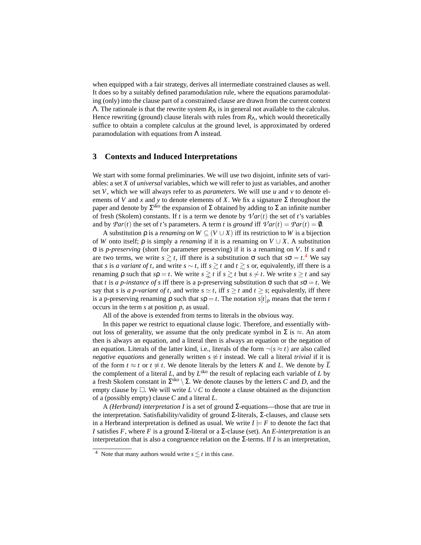when equipped with a fair strategy, derives all intermediate constrained clauses as well. It does so by a suitably defined paramodulation rule, where the equations paramodulating (only) into the clause part of a constrained clause are drawn from the current context Λ. The rationale is that the rewrite system *R*<sup>Λ</sup> is in general not available to the calculus. Hence rewriting (ground) clause literals with rules from  $R_\Lambda$ , which would theoretically suffice to obtain a complete calculus at the ground level, is approximated by ordered paramodulation with equations from  $\Lambda$  instead.

# <span id="page-4-1"></span>**3 Contexts and Induced Interpretations**

We start with some formal preliminaries. We will use two disjoint, infinite sets of variables: a set *X* of *universal* variables, which we will refer to just as variables, and another set *V*, which we will always refer to as *parameters*. We will use *u* and *v* to denote elements of *V* and *x* and *y* to denote elements of *X*. We fix a signature  $\Sigma$  throughout the paper and denote by  $\Sigma^{\text{sko}}$  the expansion of  $\Sigma$  obtained by adding to  $\Sigma$  an infinite number of fresh (Skolem) constants. If *t* is a term we denote by  $\mathcal{V}ar(t)$  the set of *t*'s variables and by  $Par(t)$  the set of *t*'s parameters. A term *t* is *ground* iff  $Var(t) = Par(t) = 0$ .

A substitution  $\rho$  is a *renaming on*  $W \subseteq (V \cup X)$  iff its restriction to W is a bijection of *W* onto itself;  $\rho$  is simply a *renaming* if it is a renaming on  $V \cup X$ . A substitution σ is *p-preserving* (short for parameter preserving) if it is a renaming on *V*. If *s* and *t* are two terms, we write  $s \gtrsim t$ , iff there is a substitution  $\sigma$  such that  $s\sigma = t^4$  $s\sigma = t^4$ . We say that *s* is *a variant of t*, and write  $s \sim t$ , iff  $s \geq t$  and  $t \geq s$  or, equivalently, iff there is a renaming ρ such that  $sρ = t$ . We write  $s \geq t$  if  $s \geq t$  but  $s \sim t$ . We write  $s \geq t$  and say that *t* is *a p-instance of s* iff there is a p-preserving substitution  $\sigma$  such that  $s\sigma = t$ . We say that *s* is *a p-variant of t*, and write  $s \simeq t$ , iff  $s \geq t$  and  $t \geq s$ ; equivalently, iff there is a p-preserving renaming  $\rho$  such that  $s\rho = t$ . The notation  $s[t]_p$  means that the term *t* occurs in the term *s* at position *p*, as usual.

All of the above is extended from terms to literals in the obvious way.

In this paper we restrict to equational clause logic. Therefore, and essentially without loss of generality, we assume that the only predicate symbol in  $\Sigma$  is  $\approx$ . An atom then is always an equation, and a literal then is always an equation or the negation of an equation. Literals of the latter kind, i.e., literals of the form  $\neg (s \approx t)$  are also called *negative equations* and generally written  $s \not\approx t$  instead. We call a literal *trivial* if it is of the form  $t \approx t$  or  $t \not\approx t$ . We denote literals by the letters *K* and *L*. We denote by  $\overline{L}$ the complement of a literal  $L$ , and by  $L^{sko}$  the result of replacing each variable of  $L$  by a fresh Skolem constant in  $\Sigma^{sko} \setminus \Sigma$ . We denote clauses by the letters *C* and *D*, and the empty clause by  $\Box$ . We will write  $L \vee C$  to denote a clause obtained as the disjunction of a (possibly empty) clause *C* and a literal *L*.

A *(Herbrand) interpretation I* is a set of ground Σ-equations—those that are true in the interpretation. Satisfiability/validity of ground Σ-literals, Σ-clauses, and clause sets in a Herbrand interpretation is defined as usual. We write  $I \models F$  to denote the fact that *I* satisfies *F*, where *F* is a ground Σ-literal or a Σ-clause (set). An *E-interpretation* is an interpretation that is also a congruence relation on the Σ-terms. If *I* is an interpretation,

<span id="page-4-0"></span><sup>&</sup>lt;sup>4</sup> Note that many authors would write  $s \lesssim t$  in this case.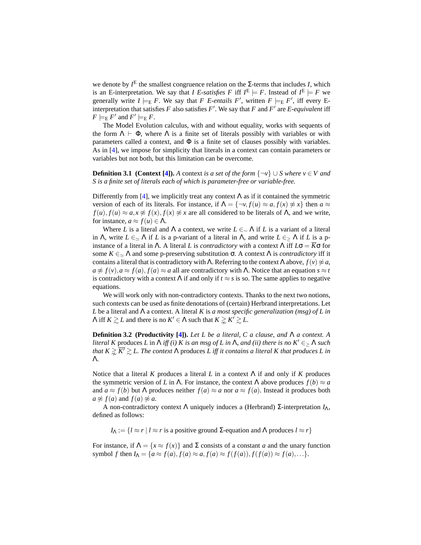we denote by  $I^E$  the smallest congruence relation on the  $\Sigma$ -terms that includes *I*, which is an E-interpretation. We say that *I E-satisfies* F iff  $I^E \models F$ . Instead of  $I^E \models F$  we generally write  $I \models_{E} F$ . We say that *F E-entails F'*, written  $F \models_{E} F'$ , iff every Einterpretation that satisfies *F* also satisfies  $F'$ . We say that *F* and  $F'$  are *E-equivalent* iff  $F \models_{\mathsf{E}} F'$  and  $F' \models_{\mathsf{E}} F$ .

The Model Evolution calculus, with and without equality, works with sequents of the form  $\Lambda \vdash \Phi$ , where  $\Lambda$  is a finite set of literals possibly with variables or with parameters called a context, and  $\Phi$  is a finite set of clauses possibly with variables. As in [\[4\]](#page-15-0), we impose for simplicity that literals in a context can contain parameters or variables but not both, but this limitation can be overcome.

**Definition 3.1 (Context [\[4\]](#page-15-0)).** *A* context *is a set of the form*  $\{\neg v\} \cup S$  *where*  $v \in V$  *and S is a finite set of literals each of which is parameter-free or variable-free.*

Differently from [\[4\]](#page-15-0), we implicitly treat any context  $\Lambda$  as if it contained the symmetric version of each of its literals. For instance, if  $\Lambda = \{\neg v, f(u) \approx a, f(x) \not\approx x\}$  then  $a \approx a$  $f(u)$ ,  $f(u) \approx a$ ,  $x \not\approx f(x)$ ,  $f(x) \not\approx x$  are all considered to be literals of Λ, and we write, for instance,  $a \approx f(u) \in \Lambda$ .

Where *L* is a literal and  $\Lambda$  a context, we write  $L \in \Lambda$  if *L* is a variant of a literal in Λ, write  $L \in \Delta$  Λ if *L* is a p-variant of a literal in Λ, and write  $L \in \Delta$  Λ if *L* is a pinstance of a literal in Λ. A literal *L* is *contradictory with* a context Λ iff  $L\sigma = \overline{K}\sigma$  for some  $K \in \Delta$  *A* and some p-preserving substitution  $\sigma$ . A context  $\Lambda$  is *contradictory* iff it contains a literal that is contradictory with  $\Lambda$ . Referring to the context  $\Lambda$  above,  $f(v) \not\approx a$ ,  $a \not\approx f(v)$ ,  $a \approx f(a)$ ,  $f(a) \approx a$  all are contradictory with Λ. Notice that an equation  $s \approx t$ is contradictory with a context  $\Lambda$  if and only if  $t \approx s$  is so. The same applies to negative equations.

We will work only with non-contradictory contexts. Thanks to the next two notions, such contexts can be used as finite denotations of (certain) Herbrand interpretations. Let *L* be a literal and Λ a context. A literal *K* is *a most specific generalization (msg) of L in*  $\Lambda$  iff  $K \ge L$  and there is no  $K' \in \Lambda$  such that  $K \ge K' \ge L$ .

**Definition 3.2 (Productivity [\[4\]](#page-15-0)).** *Let L be a literal, C a clause, and* Λ *a context. A literal K* produces *L* in  $\Lambda$  *iff (i) K is an msg of L in*  $\Lambda$ *, and (ii) there is no*  $K' \in \Lambda$  *such that*  $K \gtrsim \overline{K'} \gtrsim L$ . The context  $\Lambda$  produces *L* iff it contains a literal K that produces *L* in Λ*.*

Notice that a literal *K* produces a literal *L* in a context Λ if and only if *K* produces the symmetric version of *L* in  $\Lambda$ . For instance, the context  $\Lambda$  above produces  $f(b) \approx a$ and  $a \approx f(b)$  but  $\Lambda$  produces neither  $f(a) \approx a$  nor  $a \approx f(a)$ . Instead it produces both  $a \not\approx f(a)$  and  $f(a) \not\approx a$ .

A non-contradictory context Λ uniquely induces a (Herbrand) Σ-interpretation *I*Λ, defined as follows:

 $I_{\Lambda} := \{ l \approx r | l \approx r \text{ is a positive ground } \Sigma \text{-equation and } \Lambda \text{ produces } l \approx r \}$ 

For instance, if  $\Lambda = \{x \approx f(x)\}\$ and  $\Sigma$  consists of a constant *a* and the unary function symbol *f* then  $I_\Lambda = \{a \approx f(a), f(a) \approx a, f(a) \approx f(f(a)), f(f(a)) \approx f(a), ...\}.$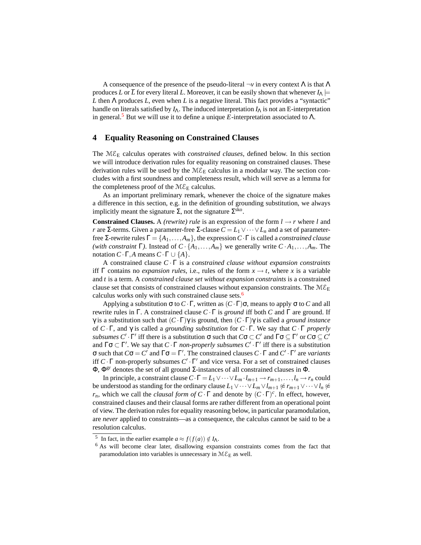A consequence of the presence of the pseudo-literal  $\neg v$  in every context  $\Lambda$  is that  $\Lambda$ produces *L* or  $\overline{L}$  for every literal *L*. Moreover, it can be easily shown that whenever  $I_{\Lambda}$   $\models$ *L* then Λ produces *L*, even when *L* is a negative literal. This fact provides a "syntactic" handle on literals satisfied by  $I_\Lambda$ . The induced interpretation  $I_\Lambda$  is not an E-interpretation in general.<sup>[5](#page-6-0)</sup> But we will use it to define a unique *E*-interpretation associated to  $\Lambda$ .

#### <span id="page-6-2"></span>**4 Equality Reasoning on Constrained Clauses**

The  $M\mathcal{E}_E$  calculus operates with *constrained clauses*, defined below. In this section we will introduce derivation rules for equality reasoning on constrained clauses. These derivation rules will be used by the  $M\mathcal{E}_E$  calculus in a modular way. The section concludes with a first soundness and completeness result, which will serve as a lemma for the completeness proof of the  $M\mathcal{E}_E$  calculus.

As an important preliminary remark, whenever the choice of the signature makes a difference in this section, e.g. in the definition of grounding substitution, we always implicitly meant the signature  $\Sigma$ , not the signature  $\Sigma^{\text{sko}}$ .

**Constrained Clauses.** A *(rewrite) rule* is an expression of the form  $l \rightarrow r$  where *l* and *r* are Σ-terms. Given a parameter-free Σ-clause  $C = L_1 \vee \cdots \vee L_n$  and a set of parameterfree Σ-rewrite rules  $\Gamma = \{A_1, \ldots, A_m\}$ , the expression  $C \cdot \Gamma$  is called a *constrained clause (with constraint* Γ). Instead of  $C \cdot \{A_1, \ldots, A_m\}$  we generally write  $C \cdot A_1, \ldots, A_m$ . The notation *C*·Γ,*A* means *C*·Γ ∪ {*A*}.

A constrained clause *C* · Γ is a *constrained clause without expansion constraints* iff Γ contains no *expansion rules*, i.e., rules of the form  $x \to t$ , where x is a variable and *t* is a term. A *constrained clause set without expansion constraints* is a constrained clause set that consists of constrained clauses without expansion constraints. The  $ME_E$ calculus works only with such constrained clause sets.<sup>[6](#page-6-1)</sup>

Applying a substitution  $\sigma$  to  $C \cdot \Gamma$ , written as  $(C \cdot \Gamma) \sigma$ , means to apply  $\sigma$  to  $C$  and all rewrite rules in Γ. A constrained clause *C* ·Γ is *ground* iff both *C* and Γ are ground. If γ is a substitution such that (*C* ·Γ)γ is ground, then (*C* ·Γ)γ is called a *ground instance* of *C* · Γ, and γ is called a *grounding substitution* for *C* · Γ. We say that *C* · Γ *properly subsumes*  $C' \cdot \Gamma'$  iff there is a substitution  $\sigma$  such that  $C\sigma \subset C'$  and  $\Gamma \sigma \subseteq \Gamma'$  or  $C\sigma \subseteq C'$ and  $\Gamma \sigma \subset \Gamma'$ . We say that  $C \cdot \Gamma$  *non-properly subsumes*  $C' \cdot \Gamma'$  iff there is a substitution **σ** such that  $C$ **σ** = *C*<sup> $\prime$ </sup> and  $\Gamma$ **σ** = Γ<sup> $\prime$ </sup>. The constrained clauses *C* · Γ and *C*<sup> $\prime$ </sup> · Γ<sup> $\prime$ </sup> are *variants* iff  $C \cdot \Gamma$  non-properly subsumes  $C' \cdot \Gamma'$  and vice versa. For a set of constrained clauses  $Φ$ ,  $Φ$ <sup>gr</sup> denotes the set of all ground Σ-instances of all constrained clauses in  $Φ$ .

In principle, a constraint clause  $C \cdot \Gamma = L_1 \vee \cdots \vee L_m \cdot l_{m+1} \rightarrow r_{m+1}, \ldots, l_n \rightarrow r_n$  could be understood as standing for the ordinary clause  $L_1 \vee \cdots \vee L_m \vee L_{m+1} \ncong r_{m+1} \vee \cdots \vee l_n \ncong$ *r<sub>n</sub>*, which we call the *clausal form of*  $C \cdot \Gamma$  and denote by  $(C \cdot \Gamma)^c$ . In effect, however, constrained clauses and their clausal forms are rather different from an operational point of view. The derivation rules for equality reasoning below, in particular paramodulation, are *never* applied to constraints—as a consequence, the calculus cannot be said to be a resolution calculus.

<span id="page-6-0"></span><sup>&</sup>lt;sup>5</sup> In fact, in the earlier example  $a \approx f(f(a)) \notin I_\Lambda$ .

<span id="page-6-1"></span><sup>6</sup> As will become clear later, disallowing expansion constraints comes from the fact that paramodulation into variables is unnecessary in  $M\mathcal{E}_\mathrm{E}$  as well.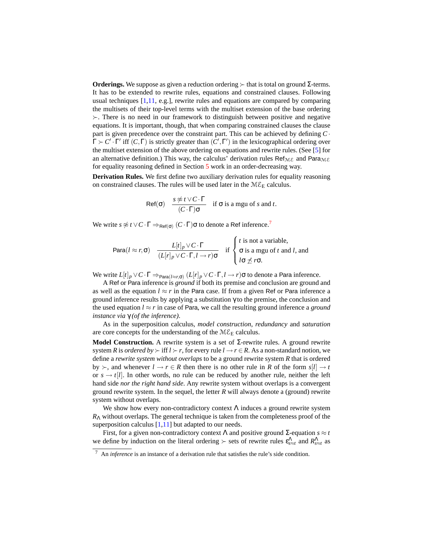**Orderings.** We suppose as given a reduction ordering  $\succ$  that is total on ground Σ-terms. It has to be extended to rewrite rules, equations and constrained clauses. Following usual techniques [\[1,](#page-15-4)[11,](#page-15-5) e.g.], rewrite rules and equations are compared by comparing the multisets of their top-level terms with the multiset extension of the base ordering  $\succ$ . There is no need in our framework to distinguish between positive and negative equations. It is important, though, that when comparing constrained clauses the clause part is given precedence over the constraint part. This can be achieved by defining  $C \cdot$  $\Gamma \succ C' \cdot \Gamma'$  iff  $(C, \Gamma)$  is strictly greater than  $(C', \Gamma')$  in the lexicographical ordering over the multiset extension of the above ordering on equations and rewrite rules. (See [\[5\]](#page-15-11) for an alternative definition.) This way, the calculus' derivation rules  $\text{Ref}_{\text{ME}}$  and  $\text{Para}_{\text{ME}}$ for equality reasoning defined in Section [5](#page-10-0) work in an order-decreasing way.

**Derivation Rules.** We first define two auxiliary derivation rules for equality reasoning on constrained clauses. The rules will be used later in the  $M\mathcal{E}_E$  calculus.

$$
\mathsf{Ref}(\sigma) \quad \frac{s \not\approx t \vee C \cdot \Gamma}{(C \cdot \Gamma) \sigma} \quad \text{if } \sigma \text{ is a mgu of } s \text{ and } t.
$$

We write  $s \not\approx t \vee C \cdot \Gamma \Rightarrow_{\mathsf{Ref}(\sigma)} (C \cdot \Gamma) \sigma$  to denote a Ref inference.<sup>[7](#page-7-0)</sup>

$$
\text{Para}(l \approx r, \sigma) \quad \frac{L[t]_p \vee C \cdot \Gamma}{(L[r]_p \vee C \cdot \Gamma, l \to r) \sigma} \quad \text{if } \begin{cases} t \text{ is not a variable,} \\ \sigma \text{ is a mgu of } t \text{ and } l, \text{ and} \\ l \sigma \nleq r \sigma. \end{cases}
$$

We write  $L[t]_p \vee C \cdot \Gamma \Rightarrow_{\text{Para}(l \approx r, \sigma)} (L[r]_p \vee C \cdot \Gamma, l \rightarrow r) \sigma$  to denote a Para inference.

A Ref or Para inference is *ground* if both its premise and conclusion are ground and as well as the equation  $l \approx r$  in the Para case. If from a given Ref or Para inference a ground inference results by applying a substitution  $\gamma$  to the premise, the conclusion and the used equation  $l \approx r$  in case of Para, we call the resulting ground inference a *ground instance via* γ *(of the inference)*.

As in the superposition calculus, *model construction*, *redundancy* and *saturation* are core concepts for the understanding of the  $M\mathcal{E}_E$  calculus.

**Model Construction.** A rewrite system is a set of Σ-rewrite rules. A ground rewrite system *R* is *ordered by*  $\succ$  iff  $l \succ r$ , for every rule  $l \rightarrow r \in R$ . As a non-standard notion, we define a *rewrite system without overlaps* to be a ground rewrite system *R* that is ordered by  $\succ$ , and whenever  $l \to r \in R$  then there is no other rule in R of the form  $s[l] \to t$ or  $s \rightarrow t[l]$ . In other words, no rule can be reduced by another rule, neither the left hand side *nor the right hand side*. Any rewrite system without overlaps is a convergent ground rewrite system. In the sequel, the letter *R* will always denote a (ground) rewrite system without overlaps.

We show how every non-contradictory context  $\Lambda$  induces a ground rewrite system *R*<sup>Λ</sup> without overlaps. The general technique is taken from the completeness proof of the superposition calculus [\[1](#page-15-4)[,11\]](#page-15-5) but adapted to our needs.

First, for a given non-contradictory context  $\Lambda$  and positive ground  $\Sigma$ -equation  $s \approx t$ we define by induction on the literal ordering  $\succ$  sets of rewrite rules  $\varepsilon_{s \approx t}^{\Lambda}$  and  $R_{s \approx t}^{\Lambda}$  as

<span id="page-7-0"></span><sup>7</sup> An *inference* is an instance of a derivation rule that satisfies the rule's side condition.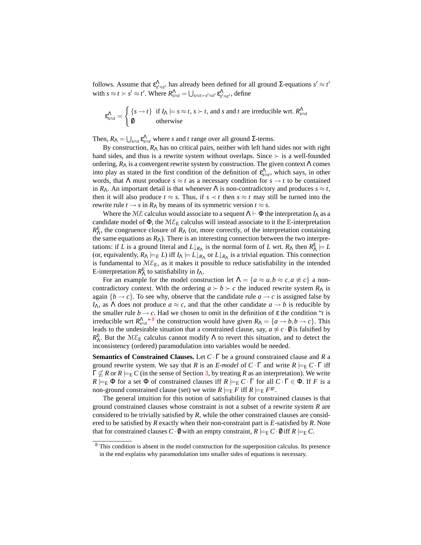follows. Assume that  $\epsilon_{s'\approx t'}^{\Lambda}$  has already been defined for all ground Σ-equations  $s' \approx t'$ with  $s \approx t > s' \approx t'$ . Where  $R^{\Lambda}_{s \approx t} = \bigcup_{s \approx t > s' \approx t'} \varepsilon^{\Lambda}_{s' \approx t'}$ , define

$$
\varepsilon_{s \approx t}^{\Lambda} = \begin{cases} \{s \to t\} & \text{if } I_{\Lambda} \models s \approx t, s \succ t, \text{ and } s \text{ and } t \text{ are irreducible wrt. } R_{s \approx t}^{\Lambda} \\ \emptyset & \text{otherwise} \end{cases}
$$

Then,  $R_{\Lambda} = \bigcup_{s \approx t} \varepsilon_{s \approx t}^{\Lambda}$  where *s* and *t* range over all ground Σ-terms.

By construction,  $R_{\Lambda}$  has no critical pairs, neither with left hand sides nor with right hand sides, and thus is a rewrite system without overlaps. Since  $\succ$  is a well-founded ordering,  $R_{\Lambda}$  is a convergent rewrite system by construction. The given context  $\Lambda$  comes into play as stated in the first condition of the definition of  $\varepsilon_{s \approx t}^{\Lambda}$ , which says, in other words, that  $\Lambda$  must produce  $s \approx t$  as a necessary condition for  $s \to t$  to be contained in  $R_\Lambda$ . An important detail is that whenever  $\Lambda$  is non-contradictory and produces  $s \approx t$ , then it will also produce  $t \approx s$ . Thus, if  $s \prec t$  then  $s \approx t$  may still be turned into the rewrite rule  $t \to s$  in  $R_\Lambda$  by means of its symmetric version  $t \approx s$ .

Where the ME calculus would associate to a sequent  $\Lambda \vdash \Phi$  the interpretation  $I_\Lambda$  as a candidate model of  $\Phi$ , the  $M\mathcal{E}_E$  calculus will instead associate to it the E-interpretation  $R_{\Lambda}^{\rm E}$ , the congruence closure of  $R_{\Lambda}$  (or, more correctly, of the interpretation containing the same equations as  $R_\Lambda$ ). There is an interesting connection between the two interpretations: if *L* is a ground literal and  $L \downarrow_{R_{\Lambda}}$  is the normal form of *L* wrt.  $R_{\Lambda}$  then  $R_{\Lambda}^{E} \models L$ (or, equivalently,  $R_{\Lambda} \models_E L$ ) iff  $I_{\Lambda} \models L \downarrow_{R_{\Lambda}}$  or  $L \downarrow_{R_{\Lambda}}$  is a trivial equation. This connection is fundamental to  $M\mathcal{E}_E$ , as it makes it possible to reduce satisfiability in the intended E-interpretation  $R_{\Lambda}^{E}$  to satisfiability in  $I_{\Lambda}$ .

For an example for the model construction let  $\Lambda = \{a \approx u, b \approx c, a \not\approx c\}$  a noncontradictory context. With the ordering  $a \succ b \succ c$  the induced rewrite system  $R_{\Lambda}$  is again  ${b \rightarrow c}$ . To see why, observe that the candidate rule  $a \rightarrow c$  is assigned false by *I*<sub>Λ</sub>, as  $\Lambda$  does not produce  $a \approx c$ , and that the other candidate  $a \to b$  is reducible by the smaller rule  $b \rightarrow c$ . Had we chosen to omit in the definition of  $\varepsilon$  the condition "*t* is irreducible wrt  $R_{s \approx t}^{\Lambda}$ <sup>3</sup> the construction would have given  $R_{\Lambda} = \{a \rightarrow b, b \rightarrow c\}$ . This leads to the undesirable situation that a constrained clause, say,  $a \not\approx c \cdot \emptyset$  is falsified by *R*<sup>E</sup>. But the  $M\mathcal{E}_E$  calculus cannot modify Λ to revert this situation, and to detect the inconsistency (ordered) paramodulation into variables would be needed.

**Semantics of Constrained Clauses.** Let *C* · Γ be a ground constrained clause and *R* a ground rewrite system. We say that *R* is an *E-model* of  $C \cdot \Gamma$  and write  $R \models_{\mathbb{E}} C \cdot \Gamma$  iff  $\Gamma \nsubseteq R$  or  $R \models_{\mathbb{E}} C$  (in the sense of Section [3,](#page-4-1) by treating R as an interpretation). We write  $R \models_{\text{E}} \Phi$  for a set  $\Phi$  of constrained clauses iff  $R \models_{\text{E}} C \cdot \Gamma$  for all  $C \cdot \Gamma \in \Phi$ . If *F* is a non-ground constrained clause (set) we write  $R \models_{\mathrm{E}} F$  iff  $R \models_{\mathrm{E}} F^{\mathrm{gr}}$ .

The general intuition for this notion of satisfiability for constrained clauses is that ground constrained clauses whose constraint is not a subset of a rewrite system *R* are considered to be trivially satisfied by *R*, while the other constrained clauses are considered to be satisfied by *R* exactly when their non-constraint part is *E*-satisfied by *R*. Note that for constrained clauses  $C \cdot \emptyset$  with an empty constraint,  $R \models_{E} C \cdot \emptyset$  iff  $R \models_{E} C$ .

<span id="page-8-0"></span><sup>&</sup>lt;sup>8</sup> This condition is absent in the model construction for the superposition calculus. Its presence in the end explains why paramodulation into smaller sides of equations is necessary.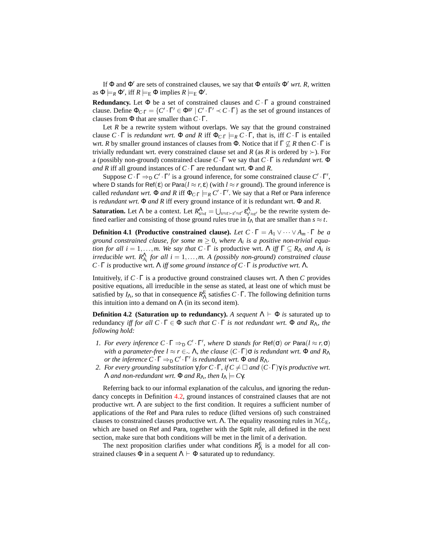If Φ and Φ' are sets of constrained clauses, we say that Φ *entails* Φ' wrt. R, written as  $\Phi \models_R \Phi'$ , iff  $R \models_E \Phi$  implies  $R \models_E \Phi'$ .

**Redundancy.** Let  $\Phi$  be a set of constrained clauses and  $C \cdot \Gamma$  a ground constrained clause. Define  $\Phi_{C\cdot\Gamma} = \{C' \cdot \Gamma' \in \Phi^{\text{gr}} \mid C' \cdot \Gamma' \prec C \cdot \Gamma\}$  as the set of ground instances of clauses from Φ that are smaller than *C*·Γ.

Let  $R$  be a rewrite system without overlaps. We say that the ground constrained clause  $C \cdot \Gamma$  is *redundant wrt.*  $\Phi$  *and R* iff  $\Phi_{C \cdot \Gamma} \models_R C \cdot \Gamma$ , that is, iff  $C \cdot \Gamma$  is entailed wrt. *R* by smaller ground instances of clauses from  $\Phi$ . Notice that if  $\Gamma \nsubseteq R$  then  $C \cdot \Gamma$  is trivially redundant wrt. every constrained clause set and *R* (as *R* is ordered by  $\succ$ ). For a (possibly non-ground) constrained clause *C* · Γ we say that *C* · Γ is *redundant wrt.* Φ *and R* iff all ground instances of *C*·Γ are redundant wrt. Φ and *R*.

Suppose  $C \cdot \Gamma \Rightarrow D \cdot C' \cdot \Gamma'$  is a ground inference, for some constrained clause  $C' \cdot \Gamma'$ , where D stands for Ref( $\varepsilon$ ) or Para( $l \approx r, \varepsilon$ ) (with  $l \approx r$  ground). The ground inference is called *redundant wrt.*  $\Phi$  *and R* iff  $\Phi$ <sub>*C*· $\Gamma$ </sub>  $\models$ <sub>*R*</sub>  $C' \cdot \Gamma'$ . We say that a Ref or Para inference is *redundant wrt.* Φ *and R* iff every ground instance of it is redundant wrt. Φ and *R*.

**Saturation.** Let  $\Lambda$  be a context. Let  $R^{\Lambda}_{s \approx t} = \bigcup_{s \approx t > s' \approx t'} \varepsilon^{\Lambda}_{s' \approx t'}$  be the rewrite system defined earlier and consisting of those ground rules true in  $I_\Lambda$  that are smaller than  $s \approx t$ .

<span id="page-9-2"></span>**Definition 4.1 (Productive constrained clause).** Let  $C \cdot \Gamma = A_1 \vee \cdots \vee A_m \cdot \Gamma$  be a *ground constrained clause, for some*  $m \geq 0$ *, where*  $A_i$  *is a positive non-trivial equation for all*  $i = 1,...,m$ . We say that  $C \cdot \Gamma$  is productive wrt.  $\Lambda$  iff  $\Gamma \subseteq R_{\Lambda}$  *and*  $A_i$  is *irreducible wrt.*  $R_{A_i}^{\Lambda}$  *for all i* = 1,...,*m.* A (*possibly non-ground*) constrained clause *C*·Γ *is* productive wrt. Λ *iff some ground instance of C*·Γ *is productive wrt.* Λ*.*

<span id="page-9-0"></span>Intuitively, if  $C \cdot \Gamma$  is a productive ground constrained clauses wrt. A then C provides positive equations, all irreducible in the sense as stated, at least one of which must be satisfied by  $I_{\Lambda}$ , so that in consequence  $R_{\Lambda}^{E}$  satisfies  $C \cdot \Gamma$ . The following definition turns this intuition into a demand on  $\Lambda$  (in its second item).

**Definition 4.2 (Saturation up to redundancy).** *A sequent*  $\Lambda \vdash \Phi$  *is* saturated up to redundancy *iff for all C* · Γ ∈ Φ *such that C* · Γ *is not redundant wrt.* Φ *and R*Λ*, the following hold:*

- *1. For every inference*  $C \cdot \Gamma \Rightarrow D \cdot C' \cdot \Gamma'$ , where D *stands for*  $\text{Ref}(\sigma)$  *or*  $\text{Para}(l \approx r, \sigma)$ *with a parameter-free l*  $\approx$  *r* ∈<sub>∼</sub>  $\Lambda$ *, the clause*  $(C \cdot \Gamma)$  $\sigma$  *is redundant wrt.*  $\Phi$  *and*  $R_{\Lambda}$ *or the inference*  $C \cdot \Gamma \Rightarrow_D C' \cdot \Gamma'$  *is redundant wrt.*  $\Phi$  *and*  $R_{\Lambda}$ *.*
- *2. For every grounding substitution*  $\gamma$  *for*  $C \cdot \Gamma$ *, if*  $C \neq \square$  *and*  $(C \cdot \Gamma) \gamma$  *is productive wrt.*  $Λ$  *and non-redundant wrt.*  $Φ$  *and*  $R_\Lambda$ *, then*  $I_\Lambda \models Cγ$ *.*

Referring back to our informal explanation of the calculus, and ignoring the redundancy concepts in Definition [4.2,](#page-9-0) ground instances of constrained clauses that are not productive wrt.  $\Lambda$  are subject to the first condition. It requires a sufficient number of applications of the Ref and Para rules to reduce (lifted versions of) such constrained clauses to constrained clauses productive wrt. Λ. The equality reasoning rules in  $M\mathcal{E}_E$ , which are based on Ref and Para, together with the Split rule, all defined in the next section, make sure that both conditions will be met in the limit of a derivation.

<span id="page-9-1"></span>The next proposition clarifies under what conditions  $R_{\Lambda}^{E}$  is a model for all constrained clauses  $\Phi$  in a sequent  $\Lambda \vdash \Phi$  saturated up to redundancy.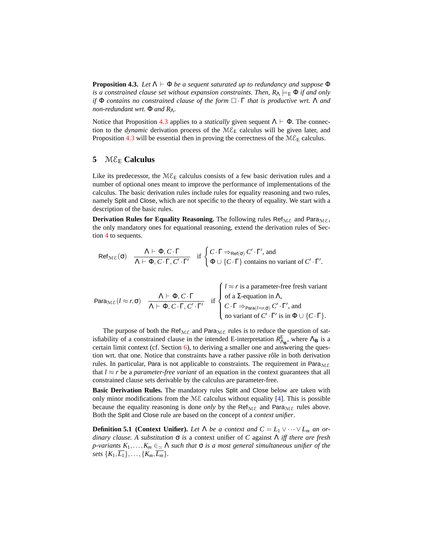**Proposition 4.3.** *Let*  $\Lambda \vdash \Phi$  *be a sequent saturated up to redundancy and suppose*  $\Phi$ *is a constrained clause set without expansion constraints. Then,*  $R_\Lambda \models_E \Phi$  *if and only if*  $Φ$  *contains no constrained clause of the form*  $□ \cdot Γ$  *that is productive wrt.* Λ *and non-redundant wrt.*  $\Phi$  *and*  $R_{\Lambda}$ *.* 

Notice that Proposition [4.3](#page-9-1) applies to a *statically* given sequent  $\Lambda \vdash \Phi$ . The connection to the *dynamic* derivation process of the  $M\mathcal{E}_E$  calculus will be given later, and Proposition [4.3](#page-9-1) will be essential then in proving the correctness of the  $M\mathcal{E}_E$  calculus.

## <span id="page-10-0"></span>**5** M $\epsilon_{\rm E}$  **Calculus**

Like its predecessor, the  $M\mathcal{E}_E$  calculus consists of a few basic derivation rules and a number of optional ones meant to improve the performance of implementations of the calculus. The basic derivation rules include rules for equality reasoning and two rules, namely Split and Close, which are not specific to the theory of equality. We start with a description of the basic rules.

**Derivation Rules for Equality Reasoning.** The following rules Ref<sub>ME</sub> and Para<sub>ME</sub>, the only mandatory ones for equational reasoning, extend the derivation rules of Section [4](#page-6-2) to sequents.

$$
\text{Ref}_{\text{ME}}(\sigma) \quad \frac{\Lambda \vdash \Phi, C \cdot \Gamma}{\Lambda \vdash \Phi, C \cdot \Gamma, C' \cdot \Gamma'} \quad \text{if } \begin{cases} C \cdot \Gamma \Rightarrow_{\text{Ref}(\sigma)} C' \cdot \Gamma', \text{ and} \\ \Phi \cup \{C \cdot \Gamma\} \text{ contains no variant of } C' \cdot \Gamma'. \end{cases}
$$

Para<sub>ME</sub>(*l* ≈ *r*,σ) 
$$
\frac{\Lambda \vdash \Phi, C \cdot \Gamma}{\Lambda \vdash \Phi, C \cdot \Gamma, C' \cdot \Gamma'}
$$
 if  $\begin{cases} l ≈ r \text{ is a parameter-free fresh variant} \\ \text{of a Σ-equation in Λ,} \\ C \cdot \Gamma \Rightarrow_{\text{Para}(l ≈ r,σ)} C' \cdot \Gamma', \text{ and} \\ \text{no variant of } C' \cdot \Gamma' \text{ is in } \Phi \cup \{C \cdot \Gamma\}.\end{cases}$ 

The purpose of both the Ref<sub>ME</sub> and Para<sub>ME</sub> rules is to reduce the question of satisfiability of a constrained clause in the intended E-interpretation  $R_{\text{A}_{\text{B}}}^{\text{E}}$ , where  $\Lambda_{\text{B}}$  is a certain limit context (cf. Section [6\)](#page-13-0), to deriving a smaller one and answering the question wrt. that one. Notice that constraints have a rather passive rôle in both derivation rules. In particular, Para is not applicable to constraints. The requirement in Para $_{\text{ME}}$ that  $l \approx r$  be a *parameter-free variant* of an equation in the context guarantees that all constrained clause sets derivable by the calculus are parameter-free.

**Basic Derivation Rules.** The mandatory rules Split and Close below are taken with only minor modifications from the  $M\mathcal{E}$  calculus without equality [\[4\]](#page-15-0). This is possible because the equality reasoning is done *only* by the Ref<sub>ME</sub> and Para<sub>ME</sub> rules above. Both the Split and Close rule are based on the concept of a *context unifier*.

**Definition 5.1 (Context Unifier).** *Let*  $\Lambda$  *be a context and*  $C = L_1 \vee \cdots \vee L_m$  *an ordinary clause. A substitution* σ *is* a context unifier of *C* against Λ *iff there are fresh p*-variants  $K_1, \ldots, K_m \in \{ \Delta} \}$  *such that*  $\sigma$  *is a most general simultaneous unifier of the sets*  $\{K_1, \overline{L_1}\}, \ldots, \{K_m, \overline{L_m}\}.$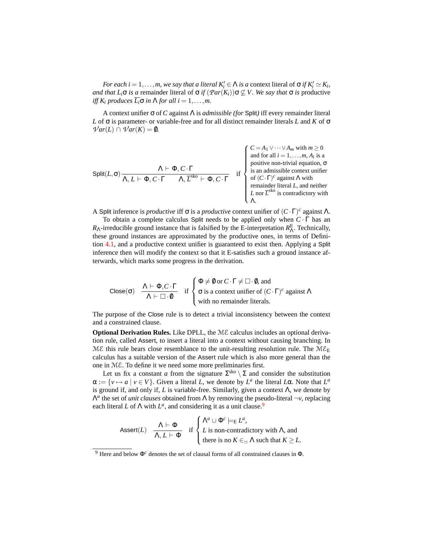*For each i* = 1,...,*m*, *we say that a literal*  $K_i' \in \Lambda$  *is a* context literal of  $\sigma$  *if*  $K_i' \simeq K_i$ , *and that*  $L_i \sigma$  *is a* remainder literal of  $\sigma$  *if*  $(\mathcal{P}ar(K_i))\sigma \not\subseteq V$ . We say that  $\sigma$  *is* productive *iff*  $K_i$  *produces*  $\overline{L_i} \sigma$  *in*  $\Lambda$  *for all*  $i = 1, \ldots, m$ .

A context unifier σ of *C* against Λ is *admissible (for* Split*)* iff every remainder literal *L* of σ is parameter- or variable-free and for all distinct remainder literals *L* and *K* of σ  $Var(L) \cap Var(K) = \emptyset$ .

$$
\text{Split}(L, \sigma) \xrightarrow[\Lambda, L \vdash \Phi, C \cdot \Gamma]{\Lambda, L \vdash \Phi, C \cdot \Gamma}
$$
\n
$$
\text{Split}(L, \sigma) \xrightarrow[\Lambda, L \vdash \Phi, C \cdot \Gamma]{\Lambda, \overline{L}^{k_0} \vdash \Phi, C \cdot \Gamma}
$$
\n
$$
\text{Split}(L, \sigma) \xrightarrow[\Lambda, L \vdash \Phi, C \cdot \Gamma]{\Lambda, \overline{L}^{k_0} \vdash \Phi, C \cdot \Gamma}
$$
\n
$$
\text{List}(L, \sigma) \xrightarrow[\Lambda, \text{non-trivial equation, } \sigma]{\Lambda, \overline{L}} \text{ is an admissible context unifier of } (C \cdot \Gamma)^c \text{ against } \Lambda \text{ with } \overline{L} \text{ nor } \overline{L}^{\text{sko}} \text{ is contradictory with } \overline{L} \text{ for } \overline{L}^{\text{sko}} \text{ is contradictory with } \overline{L} \text{ for } \overline{L}^{\text{sko}} \text{ is contradictory with } \overline{L} \text{ for } \overline{L}^{\text{sko}} \text{ is contradictory with } \overline{L} \text{ for } \overline{L}^{\text{sko}} \text{ is } \overline{L} \text{ for } \overline{L}^{\text{sko}} \text{ is } \overline{L} \text{ for } \overline{L}^{\text{sko}} \text{ is } \overline{L} \text{ for } \overline{L}^{\text{sko}} \text{ is } \overline{L} \text{ for } \overline{L}^{\text{sko}} \text{ is } \overline{L} \text{ for } \overline{L}^{\text{sko}} \text{ is } \overline{L} \text{ for } \overline{L}^{\text{sko}} \text{ is } \overline{L} \text{ for } \overline{L}^{\text{sko}} \text{ is } \overline{L} \text{ for } \overline{L}^{\text{sko}} \text{ is } \overline{L} \text{ for } \overline{L}^{\text{sko}} \text{ is } \overline{L} \text{ for } \overline{L}^{\text{sko}} \text{ is } \overline{L} \text{ for } \overline{L}^{\text{sko}} \text{ is } \overline{L} \text{ for } \overline{L}^{\text{sko}} \text{ is } \overline{L}^{\text{
$$

A Split inference is *productive* iff  $\sigma$  is a *productive* context unifier of  $(C \cdot \Gamma)^c$  against  $\Lambda$ .

To obtain a complete calculus Split needs to be applied only when *C* · Γ has an *R*<sub>Λ</sub>-irreducible ground instance that is falsified by the E-interpretation  $R_{\Lambda}^{\text{E}}$ . Technically, these ground instances are approximated by the productive ones, in terms of Definition [4.1,](#page-9-2) and a productive context unifier is guaranteed to exist then. Applying a Split inference then will modify the context so that it E-satisfies such a ground instance afterwards, which marks some progress in the derivation.

$$
Close(σ) \quad \frac{\Lambda \vdash \Phi, C \cdot \Gamma}{\Lambda \vdash \Box \cdot \emptyset} \quad \text{if } \begin{cases} \Phi \neq \emptyset \text{ or } C \cdot \Gamma \neq \Box \cdot \emptyset, \text{ and} \\ \sigma \text{ is a context unifier of } (C \cdot \Gamma)^c \text{ against } \Lambda \\ \text{with no remainder literals.} \end{cases}
$$

The purpose of the Close rule is to detect a trivial inconsistency between the context and a constrained clause.

**Optional Derivation Rules.** Like DPLL, the ME calculus includes an optional derivation rule, called Assert, to insert a literal into a context without causing branching. In ME this rule bears close resemblance to the unit-resulting resolution rule. The  $ME_E$ calculus has a suitable version of the Assert rule which is also more general than the one in ME. To define it we need some more preliminaries first.

Let us fix a constant *a* from the signature  $\Sigma^{sko} \setminus \Sigma$  and consider the substitution  $\alpha := \{v \mapsto a \mid v \in V\}$ . Given a literal *L*, we denote by  $L^a$  the literal *L*α. Note that  $L^a$ is ground if, and only if, *L* is variable-free. Similarly, given a context Λ, we denote by Λ *a* the set of *unit clauses* obtained from Λ by removing the pseudo-literal ¬*v*, replacing each literal *L* of  $\Lambda$  with  $L^a$ , and considering it as a unit clause.<sup>[9](#page-11-0)</sup>

$$
\text{assert}(L) \quad \frac{\Lambda \vdash \Phi}{\Lambda, L \vdash \Phi} \quad \text{if } \begin{cases} \Lambda^a \cup \Phi^c \models_{\mathsf{E}} L^a, \\ L \text{ is non-contradictory with } \Lambda, \text{ and} \\ \text{there is no } K \in_{\simeq} \Lambda \text{ such that } K \geq L. \end{cases}
$$

<span id="page-11-0"></span><sup>9</sup> Here and below Φ*<sup>c</sup>* denotes the set of clausal forms of all constrained clauses in Φ.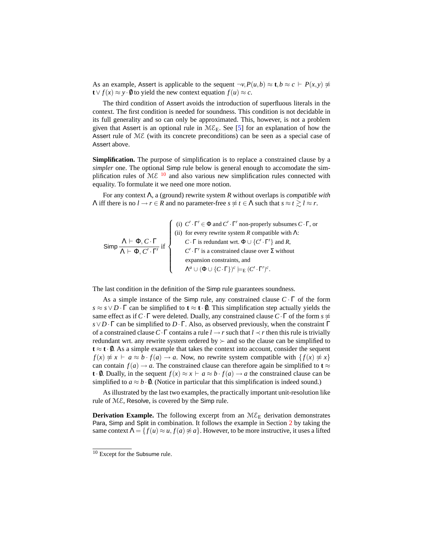As an example, Assert is applicable to the sequent  $\neg v, P(u, b) \approx t, b \approx c + P(x, y) \neq 0$ **t**∨  $f(x) \approx y \cdot \emptyset$  to yield the new context equation  $f(u) \approx c$ .

The third condition of Assert avoids the introduction of superfluous literals in the context. The first condition is needed for soundness. This condition is not decidable in its full generality and so can only be approximated. This, however, is not a problem given that Assert is an optional rule in  $M\mathcal{E}_E$ . See [\[5\]](#page-15-11) for an explanation of how the Assert rule of ME (with its concrete preconditions) can be seen as a special case of Assert above.

**Simplification.** The purpose of simplification is to replace a constrained clause by a *simpler* one. The optional Simp rule below is general enough to accomodate the simplification rules of  $M\mathcal{E}$  <sup>[10](#page-12-0)</sup> and also various new simplification rules connected with equality. To formulate it we need one more notion.

For any context Λ, a (ground) rewrite system *R* without overlaps is *compatible with Λ* iff there is no *l* → *r* ∈ *R* and no parameter-free *s*  $\notin$  *t* ∈ *Λ* such that *s* ≈ *t*  $\ge$  *l* ≈ *r*.

Simp  $\frac{\Lambda \vdash \Phi, C \cdot \Gamma}{\vdots}$  $\frac{1}{\Lambda \vdash \Phi, C' \cdot \Gamma'}$  if  $\sqrt{ }$  $\int$  $\overline{\mathcal{L}}$ (i)  $C' \cdot \Gamma' \in \Phi$  and  $C' \cdot \Gamma'$  non-properly subsumes  $C \cdot \Gamma$ , or (ii) for every rewrite system  $R$  compatible with  $\Lambda$ : *C* · Γ is redundant wrt.  $\Phi \cup \{C' \cdot \Gamma'\}$  and *R*,  $C' \cdot \Gamma'$  is a constrained clause over  $\Sigma$  without expansion constraints, and  $\Lambda^a \cup (\Phi \cup \{C\cdot \Gamma\})^c \models_{\mathsf{E}} (C' \cdot \Gamma')^c.$ 

The last condition in the definition of the Simp rule guarantees soundness.

As a simple instance of the Simp rule, any constrained clause  $C \cdot \Gamma$  of the form  $s \approx s \vee D \cdot \Gamma$  can be simplified to  $t \approx t \cdot 0$ . This simplification step actually yields the same effect as if  $C \cdot \Gamma$  were deleted. Dually, any constrained clause  $C \cdot \Gamma$  of the form  $s \not\approx$ *s*∨*D*·Γ can be simplified to *D*·Γ. Also, as observed previously, when the constraint Γ of a constrained clause*C*·Γ contains a rule *l* → *r* such that *l* ≺ *r* then this rule is trivially redundant wrt. any rewrite system ordered by  $\succ$  and so the clause can be simplified to  $t \approx t \cdot \theta$ . As a simple example that takes the context into account, consider the sequent  $f(x) \not\approx x \vdash a \approx b \cdot f(a) \rightarrow a$ . Now, no rewrite system compatible with  $\{f(x) \not\approx x\}$ can contain  $f(a) \rightarrow a$ . The constrained clause can therefore again be simplified to **t**  $\approx$ **t**·0. Dually, in the sequent  $f(x) \approx x + a \approx b \cdot f(a) \rightarrow a$  the constrained clause can be simplified to  $a \approx b \cdot \emptyset$ . (Notice in particular that this simplification is indeed sound.)

As illustrated by the last two examples, the practically important unit-resolution like rule of ME, Resolve, is covered by the Simp rule.

**Derivation Example.** The following excerpt from an  $M\mathcal{E}_E$  derivation demonstrates Para, Simp and Split in combination. It follows the example in Section [2](#page-1-1) by taking the same context  $\Lambda = \{f(u) \approx u, f(a) \not\approx a\}$ . However, to be more instructive, it uses a lifted

<span id="page-12-0"></span><sup>&</sup>lt;sup>10</sup> Except for the Subsume rule.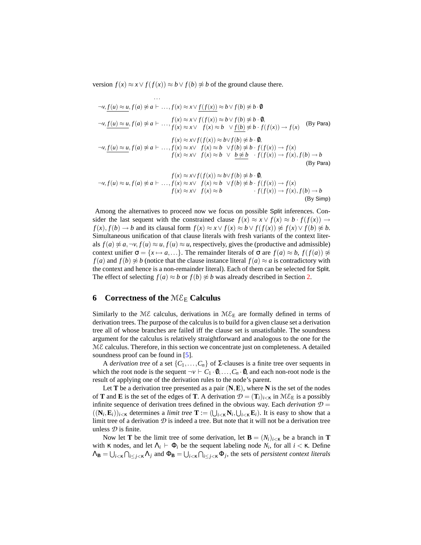version  $f(x) \approx x \vee f(f(x)) \approx b \vee f(b) \not\approx b$  of the ground clause there.

$$
\cdots
$$
  
\n
$$
\cdots
$$
  
\n
$$
\neg v, \underline{f(u)} \approx u, f(a) \not\approx a \vdash \dots, f(x) \approx x \vee \underline{f(f(x))} \approx b \vee f(b) \not\approx b \cdot 0
$$
  
\n
$$
\neg v, \underline{f(u)} \approx u, f(a) \not\approx a \vdash \dots, f(x) \approx x \vee f(f(x)) \approx b \vee f(b) \not\approx b \cdot 0,
$$
  
\n
$$
f(x) \approx x \vee f(x) \approx b \vee f(b) \not\approx b \cdot f(f(x)) \to f(x)
$$
  
\n
$$
\neg v, \underline{f(u)} \approx u, f(a) \not\approx a \vdash \dots, f(x) \approx x \vee f(x) \approx b \vee f(b) \not\approx b \cdot f(f(x)) \to f(x)
$$
  
\n
$$
f(x) \approx x \vee f(x) \approx b \vee \underline{b} \not\approx \underline{b} \cdot f(f(x)) \to f(x), f(b) \to b
$$
  
\n
$$
f(x) \approx x \vee f(f(x)) \approx b \vee f(b) \not\approx b \cdot 0,
$$
  
\nBy Para)

$$
\neg v, f(u) \approx u, f(a) \not\approx a \vdash \dots, f(x) \approx x \lor f(x) \approx b \lor f(b) \not\approx b \cdot v,
$$
  

$$
f(x) \approx x \lor f(x) \approx b \lor f(b) \not\approx b \cdot f(f(x)) \to f(x), f(b) \to b
$$
  
(By Simp)

Among the alternatives to proceed now we focus on possible Split inferences. Consider the last sequent with the constrained clause  $f(x) \approx x \vee f(x) \approx b \cdot f(f(x)) \rightarrow$ *f*(*x*), *f*(*b*) → *b* and its clausal form  $f(x) \approx x \vee f(x) \approx b \vee f(f(x)) \not\approx f(x) \vee f(b) \not\approx b$ . Simultaneous unification of that clause literals with fresh variants of the context literals  $f(a) \not\approx a, \neg v, f(u) \approx u, f(u) \approx u$ , respectively, gives the (productive and admissible) context unifier  $\sigma = \{x \mapsto a, ...\}$ . The remainder literals of  $\sigma$  are  $f(a) \approx b$ ,  $f(f(a)) \not\approx$ *f*(*a*) and *f*(*b*)  $\napprox b$  (notice that the clause instance literal *f*(*a*)  $\approx a$  is contradictory with the context and hence is a non-remainder literal). Each of them can be selected for Split. The effect of selecting  $f(a) \approx b$  or  $f(b) \not\approx b$  was already described in Section [2.](#page-1-1)

## <span id="page-13-0"></span>**6 Correctness of the** ME<sup>E</sup> **Calculus**

Similarly to the ME calculus, derivations in  $M\mathcal{E}_E$  are formally defined in terms of derivation trees. The purpose of the calculus is to build for a given clause set a derivation tree all of whose branches are failed iff the clause set is unsatisfiable. The soundness argument for the calculus is relatively straightforward and analogous to the one for the  $M\mathcal{E}$  calculus. Therefore, in this section we concentrate just on completeness. A detailed soundness proof can be found in [\[5\]](#page-15-11).

A *derivation tree* of a set  $\{C_1, \ldots, C_n\}$  of  $\Sigma$ -clauses is a finite tree over sequents in which the root node is the sequent  $\neg v \vdash C_1 \cdot \emptyset, \ldots, C_n \cdot \emptyset$ , and each non-root node is the result of applying one of the derivation rules to the node's parent.

Let **T** be a derivation tree presented as a pair  $(N, E)$ , where **N** is the set of the nodes of **T** and **E** is the set of the edges of **T**. A derivation  $\mathcal{D} = (\mathbf{T}_i)_{i \leq \kappa}$  in  $M \mathcal{E}_E$  is a possibly infinite sequence of derivation trees defined in the obvious way. Each *derivation*  $D =$  $((N_i, E_i))_{i \leq \kappa}$  determines a *limit tree*  $\mathbf{T} := (\bigcup_{i \leq \kappa} N_i, \bigcup_{i \leq \kappa} E_i)$ . It is easy to show that a limit tree of a derivation  $\mathcal D$  is indeed a tree. But note that it will not be a derivation tree unless *D* is finite.

Now let **T** be the limit tree of some derivation, let  $\mathbf{B} = (N_i)_{i \leq \kappa}$  be a branch in **T** with  $\kappa$  nodes, and let  $\Lambda_i \vdash \Phi_i$  be the sequent labeling node  $N_i$ , for all  $i < \kappa$ . Define  $\Lambda_B = \bigcup_{i \leq \kappa} \bigcap_{i \leq j \leq \kappa} \Lambda_j$  and  $\Phi_B = \bigcup_{i \leq \kappa} \bigcap_{i \leq j \leq \kappa} \Phi_j$ , the sets of *persistent context literals*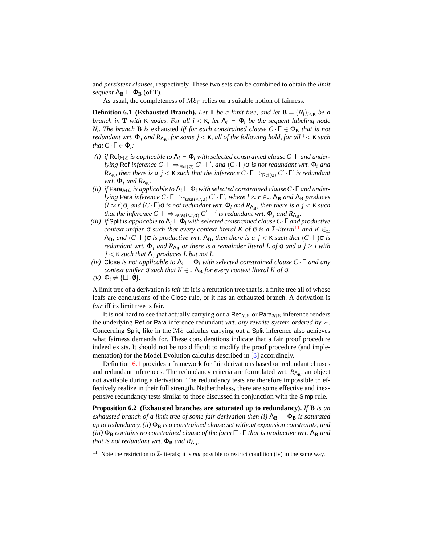and *persistent clauses*, respectively. These two sets can be combined to obtain the *limit sequent*  $\Lambda_{\mathbf{B}} \vdash \Phi_{\mathbf{B}}$  (of **T**).

As usual, the completeness of  $M\mathcal{E}_E$  relies on a suitable notion of fairness.

<span id="page-14-1"></span>**Definition 6.1 (Exhausted Branch).** *Let* **T** *be a limit tree, and let*  $\mathbf{B} = (N_i)_{i \leq \kappa}$  *be a branch in* **T** *with* **κ** *nodes. For all*  $i < \kappa$ , *let*  $Λ<sub>i</sub>$   $\vdash$  Φ*i be the sequent labeling node N*<sub>*i*</sub>. The branch **B** *is* exhausted *iff for each constrained clause*  $C \cdot \Gamma \in \Phi_B$  *that is not redundant wrt.* Φ*<sup>j</sup> and R*Λ**<sup>B</sup>** *, for some j* < κ*, all of the following hold, for all i* < κ *such that*  $C \cdot \Gamma \in \Phi_i$ *:* 

- *(i) if*  $\text{Ref}_{\text{ME}}$  *is applicable to*  $\Lambda_i \vdash \Phi_i$  *with selected constrained clause*  $C \cdot \Gamma$  *and underlying* Ref *inference*  $C \cdot \Gamma \Rightarrow_{\text{Ref}(\sigma)} C' \cdot \Gamma'$ , and  $(C \cdot \Gamma)$  $\sigma$  *is not redundant wrt.*  $\Phi_i$  *and*  $R_{\Lambda_B}$ , then there is a  $j < \kappa$  such that the inference  $C \cdot \Gamma \Rightarrow_{\text{Ref}(\sigma)} C' \cdot \Gamma'$  is redundant *wrt.*  $\Phi_j$  *and*  $R_{\Lambda_B}$ .
- *(ii) if* Para $_{\text{ME}}$  *is applicable to*  $\Lambda_i \vdash \Phi_i$  *with selected constrained clause*  $C \cdot \Gamma$  *and underlying* Para *inference*  $C \cdot \Gamma \Rightarrow_{\text{Para}(l \approx r, \sigma)} C' \cdot \Gamma'$ , where  $l \approx r \in \Delta$  **AB** *and*  $\Lambda$ **B** *produces*  $(l ≈ r)$ **σ**, and  $(C \cdot Γ)$ **σ** *is not redundant wrt.*  $\Phi$ <sub>*i</sub>* and  $R$ <sub>Δ</sub><sub>B</sub>, then there *is a j* < κ *such*</sub> *that the inference*  $C \cdot \Gamma \Rightarrow_{\text{Para}(l \approx r, \sigma)} C' \cdot \Gamma'$  *is redundant wrt.*  $\Phi_j$  *and*  $R_{\text{Ag}}$ *.*
- *(iii) if* Split *is applicable to*  $\Lambda_i \vdash \Phi_i$  *with selected constrained clause*  $C \cdot \Gamma$  *and productive context unifier*  $\sigma$  *such that every context literal* K *of*  $\sigma$  *is a* Σ*-literal*<sup>[11](#page-14-0)</sup> *and* K  $\epsilon_{\simeq}$  $Λ$ **B***, and*  $(C \cdot Γ)$ **σ** *is productive wrt.*  $Λ$ **B***, then there is a j* < κ *such that*  $(C \cdot Γ)$ **σ** *is redundant wrt.*  $\Phi_j$  *and*  $R_{\Lambda_B}$  *or there is a remainder literal* L *of*  $\sigma$  *and*  $a$   $j \geq i$  *with*  $j < \kappa$  *such that*  $\Lambda_j$  *produces L but not*  $\overline{L}$ *.*
- *(iv)* Close *is not applicable to*  $\Lambda_i \vdash \Phi_i$  *with selected constrained clause*  $C \cdot \Gamma$  *and any context unifier*  $\sigma$  *such that*  $K \in \Delta$ **B** *for every context literal*  $K$  *of*  $\sigma$ *.*
- $(\nu) \Phi_i \neq {\Box \cdot \emptyset}.$

A limit tree of a derivation is *fair* iff it is a refutation tree that is, a finite tree all of whose leafs are conclusions of the Close rule, or it has an exhausted branch. A derivation is *fair* iff its limit tree is fair.

It is not hard to see that actually carrying out a Ref<sub>ME</sub> or Para<sub>ME</sub> inference renders the underlying Ref or Para inference redundant *wrt. any rewrite system ordered by*  $\succ$ . Concerning Split, like in the  $M\mathcal{E}$  calculus carrying out a Split inference also achieves what fairness demands for. These considerations indicate that a fair proof procedure indeed exists. It should not be too difficult to modify the proof procedure (and implementation) for the Model Evolution calculus described in [\[3\]](#page-15-3) accordingly.

Definition [6.1](#page-14-1) provides a framework for fair derivations based on redundant clauses and redundant inferences. The redundancy criteria are formulated wrt.  $R_{\Lambda_{\rm B}}$ , an object not available during a derivation. The redundancy tests are therefore impossible to effectively realize in their full strength. Nethertheless, there are some effective and inexpensive redundancy tests similar to those discussed in conjunction with the Simp rule.

<span id="page-14-2"></span>**Proposition 6.2 (Exhausted branches are saturated up to redundancy).** *If* **B** *is an exhausted branch of a limit tree of some fair derivation then (i)*  $\Lambda_B$   $\vdash$   $\Phi_B$  *is saturated*  $up$  *to redundancy, (ii)*  $\Phi_B$  *is a constrained clause set without expansion constraints, and*  $(iii)$   $\Phi_B$  *contains no constrained clause of the form*  $\Box \cdot \Gamma$  *that is productive wrt.*  $\Lambda_B$  *and that is not redundant wrt.*  $\Phi_B$  *and*  $R_{\Lambda_B}$ .

<span id="page-14-0"></span><sup>11</sup> Note the restriction to Σ-literals; it is *not* possible to restrict condition (iv) in the same way.